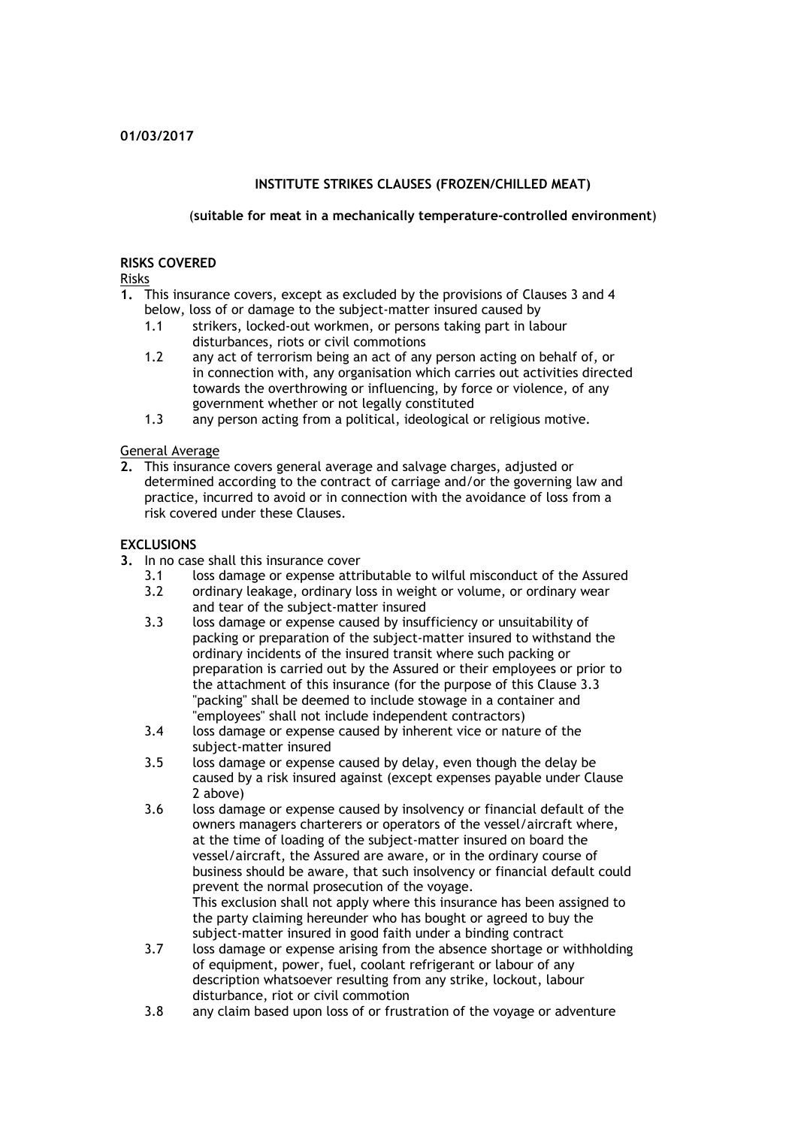## **INSTITUTE STRIKES CLAUSES (FROZEN/CHILLED MEAT)**

## (**suitable for meat in a mechanically temperature-controlled environment**)

### **RISKS COVERED**

Risks

- **1.** This insurance covers, except as excluded by the provisions of Clauses 3 and 4 below, loss of or damage to the subject-matter insured caused by
	- 1.1 strikers, locked-out workmen, or persons taking part in labour disturbances, riots or civil commotions
	- 1.2 any act of terrorism being an act of any person acting on behalf of, or in connection with, any organisation which carries out activities directed towards the overthrowing or influencing, by force or violence, of any government whether or not legally constituted
	- 1.3 any person acting from a political, ideological or religious motive.

## General Average

**2.** This insurance covers general average and salvage charges, adjusted or determined according to the contract of carriage and/or the governing law and practice, incurred to avoid or in connection with the avoidance of loss from a risk covered under these Clauses.

## **EXCLUSIONS**

- **3.** In no case shall this insurance cover
	- 3.1 loss damage or expense attributable to wilful misconduct of the Assured
	- 3.2 ordinary leakage, ordinary loss in weight or volume, or ordinary wear and tear of the subject-matter insured
	- 3.3 loss damage or expense caused by insufficiency or unsuitability of packing or preparation of the subject-matter insured to withstand the ordinary incidents of the insured transit where such packing or preparation is carried out by the Assured or their employees or prior to the attachment of this insurance (for the purpose of this Clause 3.3 "packing" shall be deemed to include stowage in a container and "employees" shall not include independent contractors)
	- 3.4 loss damage or expense caused by inherent vice or nature of the subject-matter insured
	- 3.5 loss damage or expense caused by delay, even though the delay be caused by a risk insured against (except expenses payable under Clause 2 above)
	- 3.6 loss damage or expense caused by insolvency or financial default of the owners managers charterers or operators of the vessel/aircraft where, at the time of loading of the subject-matter insured on board the vessel/aircraft, the Assured are aware, or in the ordinary course of business should be aware, that such insolvency or financial default could prevent the normal prosecution of the voyage. This exclusion shall not apply where this insurance has been assigned to the party claiming hereunder who has bought or agreed to buy the subject-matter insured in good faith under a binding contract
	- 3.7 loss damage or expense arising from the absence shortage or withholding of equipment, power, fuel, coolant refrigerant or labour of any description whatsoever resulting from any strike, lockout, labour disturbance, riot or civil commotion
	- 3.8 any claim based upon loss of or frustration of the voyage or adventure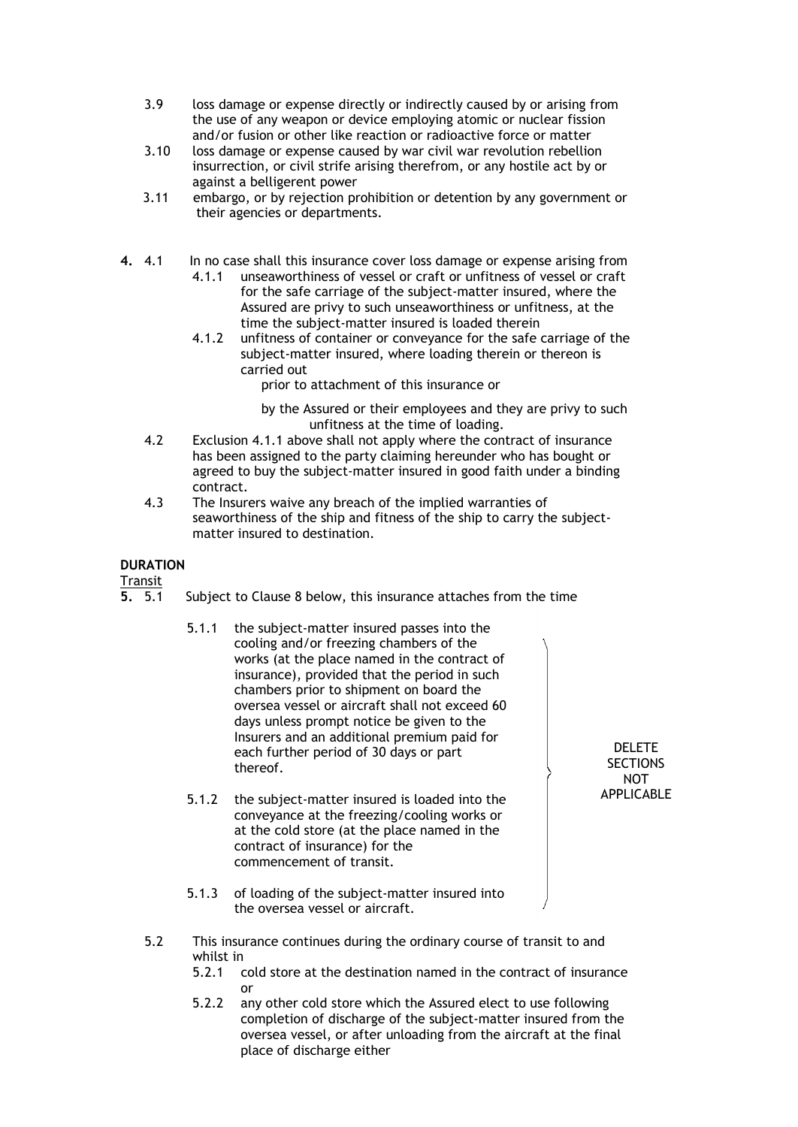- 3.9 loss damage or expense directly or indirectly caused by or arising from the use of any weapon or device employing atomic or nuclear fission and/or fusion or other like reaction or radioactive force or matter
- 3.10 loss damage or expense caused by war civil war revolution rebellion insurrection, or civil strife arising therefrom, or any hostile act by or against a belligerent power
- 3.11 embargo, or by rejection prohibition or detention by any government or their agencies or departments.
- **4.** 4.1 In no case shall this insurance cover loss damage or expense arising from 4.1.1 unseaworthiness of vessel or craft or unfitness of vessel or craft for the safe carriage of the subject-matter insured, where the Assured are privy to such unseaworthiness or unfitness, at the time the subject-matter insured is loaded therein
	- 4.1.2 unfitness of container or conveyance for the safe carriage of the subject-matter insured, where loading therein or thereon is carried out
		- prior to attachment of this insurance or
		- by the Assured or their employees and they are privy to such unfitness at the time of loading.
	- 4.2 Exclusion 4.1.1 above shall not apply where the contract of insurance has been assigned to the party claiming hereunder who has bought or agreed to buy the subject-matter insured in good faith under a binding contract.
	- 4.3 The Insurers waive any breach of the implied warranties of seaworthiness of the ship and fitness of the ship to carry the subjectmatter insured to destination.

## **DURATION**

 $\frac{Transit}{5.5.1}$ 

- **5.** 5.1 Subject to Clause 8 below, this insurance attaches from the time
	- 5.1.1 the subject-matter insured passes into the cooling and/or freezing chambers of the works (at the place named in the contract of insurance), provided that the period in such chambers prior to shipment on board the oversea vessel or aircraft shall not exceed 60 days unless prompt notice be given to the Insurers and an additional premium paid for each further period of 30 days or part thereof.
	- 5.1.2 the subject-matter insured is loaded into the conveyance at the freezing/cooling works or at the cold store (at the place named in the contract of insurance) for the commencement of transit.
	- 5.1.3 of loading of the subject-matter insured into the oversea vessel or aircraft.
- 5.2 This insurance continues during the ordinary course of transit to and whilst in
	- 5.2.1 cold store at the destination named in the contract of insurance or
	- 5.2.2 any other cold store which the Assured elect to use following completion of discharge of the subject-matter insured from the oversea vessel, or after unloading from the aircraft at the final place of discharge either

DELETE **SECTIONS** NOT APPLICABLE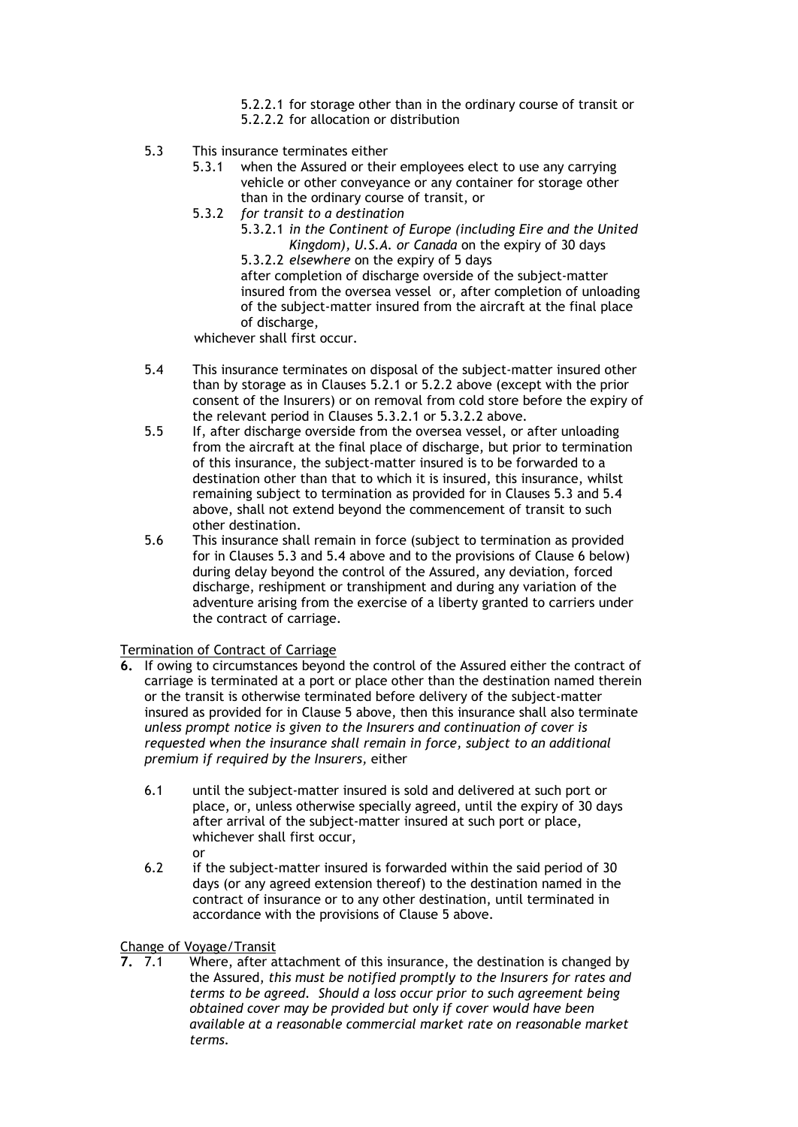- 5.2.2.1 for storage other than in the ordinary course of transit or
- 5.2.2.2 for allocation or distribution
- 5.3 This insurance terminates either
	- 5.3.1 when the Assured or their employees elect to use any carrying vehicle or other conveyance or any container for storage other than in the ordinary course of transit, or
	- 5.3.2 *for transit to a destination*

5.3.2.1 *in the Continent of Europe (including Eire and the United Kingdom), U.S.A. or Canada* on the expiry of 30 days 5.3.2.2 *elsewhere* on the expiry of 5 days

after completion of discharge overside of the subject-matter insured from the oversea vessel or, after completion of unloading of the subject-matter insured from the aircraft at the final place of discharge,

whichever shall first occur.

- 5.4 This insurance terminates on disposal of the subject-matter insured other than by storage as in Clauses 5.2.1 or 5.2.2 above (except with the prior consent of the Insurers) or on removal from cold store before the expiry of the relevant period in Clauses 5.3.2.1 or 5.3.2.2 above.
- 5.5 If, after discharge overside from the oversea vessel, or after unloading from the aircraft at the final place of discharge, but prior to termination of this insurance, the subject-matter insured is to be forwarded to a destination other than that to which it is insured, this insurance, whilst remaining subject to termination as provided for in Clauses 5.3 and 5.4 above, shall not extend beyond the commencement of transit to such other destination.
- 5.6 This insurance shall remain in force (subject to termination as provided for in Clauses 5.3 and 5.4 above and to the provisions of Clause 6 below) during delay beyond the control of the Assured, any deviation, forced discharge, reshipment or transhipment and during any variation of the adventure arising from the exercise of a liberty granted to carriers under the contract of carriage.

## Termination of Contract of Carriage

- **6.** If owing to circumstances beyond the control of the Assured either the contract of carriage is terminated at a port or place other than the destination named therein or the transit is otherwise terminated before delivery of the subject-matter insured as provided for in Clause 5 above, then this insurance shall also terminate *unless prompt notice is given to the Insurers and continuation of cover is requested when the insurance shall remain in force, subject to an additional premium if required by the Insurers,* either
	- 6.1 until the subject-matter insured is sold and delivered at such port or place, or, unless otherwise specially agreed, until the expiry of 30 days after arrival of the subject-matter insured at such port or place, whichever shall first occur, or
	- 6.2 if the subject-matter insured is forwarded within the said period of 30 days (or any agreed extension thereof) to the destination named in the contract of insurance or to any other destination, until terminated in accordance with the provisions of Clause 5 above.

# Change of Voyage/Transit<br>7. 7.1 Where, after a

**7.** 7.1 Where, after attachment of this insurance, the destination is changed by the Assured, *this must be notified promptly to the Insurers for rates and terms to be agreed. Should a loss occur prior to such agreement being obtained cover may be provided but only if cover would have been available at a reasonable commercial market rate on reasonable market terms.*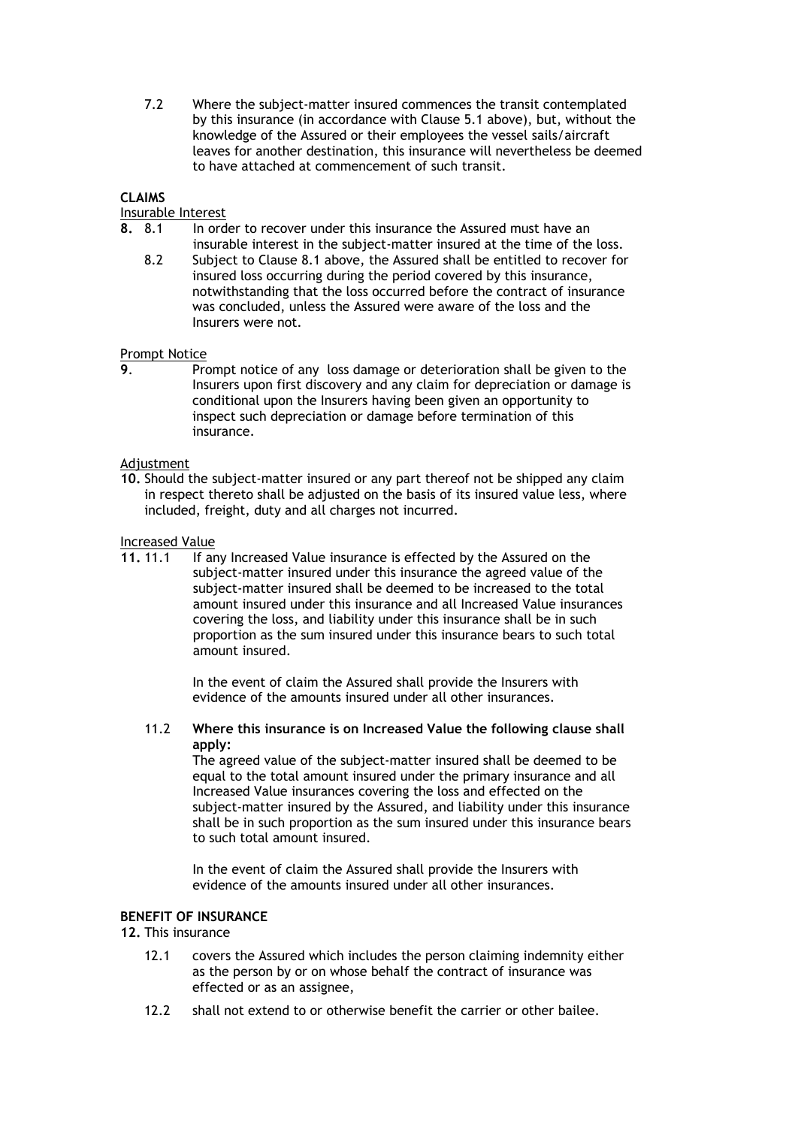7.2 Where the subject-matter insured commences the transit contemplated by this insurance (in accordance with Clause 5.1 above), but, without the knowledge of the Assured or their employees the vessel sails/aircraft leaves for another destination, this insurance will nevertheless be deemed to have attached at commencement of such transit.

## **CLAIMS**

## Insurable Interest

- **8.** 8.1 In order to recover under this insurance the Assured must have an insurable interest in the subject-matter insured at the time of the loss.
	- 8.2 Subject to Clause 8.1 above, the Assured shall be entitled to recover for insured loss occurring during the period covered by this insurance, notwithstanding that the loss occurred before the contract of insurance was concluded, unless the Assured were aware of the loss and the Insurers were not.

## Prompt Notice

**9**. Prompt notice of any loss damage or deterioration shall be given to the Insurers upon first discovery and any claim for depreciation or damage is conditional upon the Insurers having been given an opportunity to inspect such depreciation or damage before termination of this insurance.

#### Adjustment

**10.** Should the subject-matter insured or any part thereof not be shipped any claim in respect thereto shall be adjusted on the basis of its insured value less, where included, freight, duty and all charges not incurred.

# Increased Value<br>11.11.1 If an

If any Increased Value insurance is effected by the Assured on the subject-matter insured under this insurance the agreed value of the subject-matter insured shall be deemed to be increased to the total amount insured under this insurance and all Increased Value insurances covering the loss, and liability under this insurance shall be in such proportion as the sum insured under this insurance bears to such total amount insured.

> In the event of claim the Assured shall provide the Insurers with evidence of the amounts insured under all other insurances.

11.2 **Where this insurance is on Increased Value the following clause shall apply:**

The agreed value of the subject-matter insured shall be deemed to be equal to the total amount insured under the primary insurance and all Increased Value insurances covering the loss and effected on the subject-matter insured by the Assured, and liability under this insurance shall be in such proportion as the sum insured under this insurance bears to such total amount insured.

In the event of claim the Assured shall provide the Insurers with evidence of the amounts insured under all other insurances.

## **BENEFIT OF INSURANCE**

## **12.** This insurance

- 12.1 covers the Assured which includes the person claiming indemnity either as the person by or on whose behalf the contract of insurance was effected or as an assignee,
- 12.2 shall not extend to or otherwise benefit the carrier or other bailee.